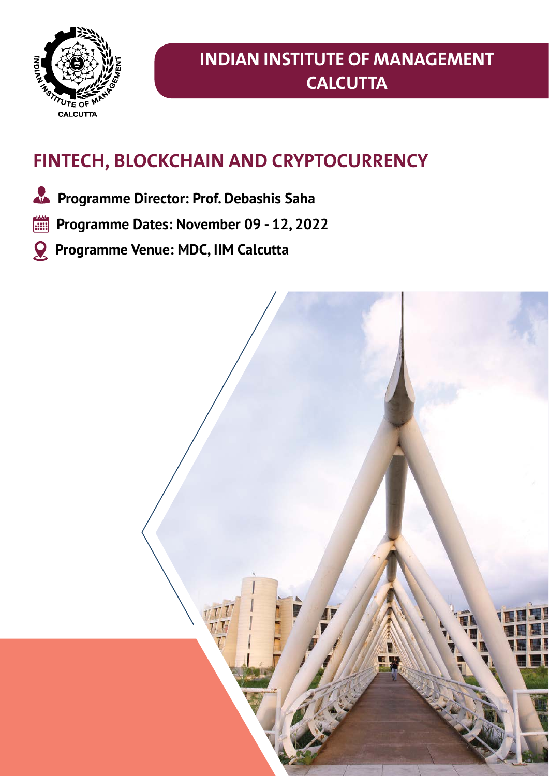

# **Indian institute of management calcutta**

# **FinTech, Blockchain and Cryptocurrency**

- **Programme Director: Prof. Debashis Saha**
- **Programme Dates: November 09 12, 2022**
- **Programme Venue: MDC, IIM Calcutta**

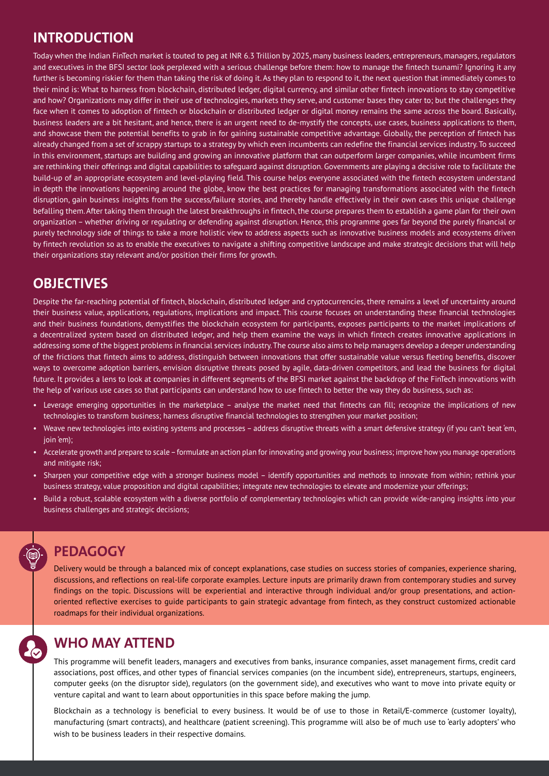### **INTRODUCTION**

Today when the Indian FinTech market is touted to peg at INR 6.3 Trillion by 2025, many business leaders, entrepreneurs, managers, regulators and executives in the BFSI sector look perplexed with a serious challenge before them: how to manage the fintech tsunami? Ignoring it any further is becoming riskier for them than taking the risk of doing it. As they plan to respond to it, the next question that immediately comes to their mind is: What to harness from blockchain, distributed ledger, digital currency, and similar other fintech innovations to stay competitive and how? Organizations may differ in their use of technologies, markets they serve, and customer bases they cater to; but the challenges they face when it comes to adoption of fintech or blockchain or distributed ledger or digital money remains the same across the board. Basically, business leaders are a bit hesitant, and hence, there is an urgent need to de-mystify the concepts, use cases, business applications to them, and showcase them the potential benefits to grab in for gaining sustainable competitive advantage. Globally, the perception of fintech has already changed from a set of scrappy startups to a strategy by which even incumbents can redefine the financial services industry. To succeed in this environment, startups are building and growing an innovative platform that can outperform larger companies, while incumbent firms are rethinking their offerings and digital capabilities to safeguard against disruption. Governments are playing a decisive role to facilitate the build-up of an appropriate ecosystem and level-playing field. This course helps everyone associated with the fintech ecosystem understand in depth the innovations happening around the globe, know the best practices for managing transformations associated with the fintech disruption, gain business insights from the success/failure stories, and thereby handle effectively in their own cases this unique challenge befalling them. After taking them through the latest breakthroughs in fintech, the course prepares them to establish a game plan for their own organization – whether driving or regulating or defending against disruption. Hence, this programme goes far beyond the purely financial or purely technology side of things to take a more holistic view to address aspects such as innovative business models and ecosystems driven by fintech revolution so as to enable the executives to navigate a shifting competitive landscape and make strategic decisions that will help their organizations stay relevant and/or position their firms for growth.

#### **oBJectIVes**

Despite the far-reaching potential of fintech, blockchain, distributed ledger and cryptocurrencies, there remains a level of uncertainty around their business value, applications, regulations, implications and impact. This course focuses on understanding these financial technologies and their business foundations, demystifies the blockchain ecosystem for participants, exposes participants to the market implications of a decentralized system based on distributed ledger, and help them examine the ways in which fintech creates innovative applications in addressing some of the biggest problems in financial services industry. The course also aims to help managers develop a deeper understanding of the frictions that fintech aims to address, distinguish between innovations that offer sustainable value versus fleeting benefits, discover ways to overcome adoption barriers, envision disruptive threats posed by agile, data-driven competitors, and lead the business for digital future. It provides a lens to look at companies in different segments of the BFSI market against the backdrop of the FinTech innovations with the help of various use cases so that participants can understand how to use fintech to better the way they do business, such as:

- Leverage emerging opportunities in the marketplace analyse the market need that fintechs can fill; recognize the implications of new technologies to transform business; harness disruptive financial technologies to strengthen your market position;
- Weave new technologies into existing systems and processes address disruptive threats with a smart defensive strategy (if you can't beat 'em, join 'em);
- Accelerate growth and prepare to scale formulate an action plan for innovating and growing your business; improve how you manage operations and mitigate risk;
- Sharpen your competitive edge with a stronger business model identify opportunities and methods to innovate from within; rethink your business strategy, value proposition and digital capabilities; integrate new technologies to elevate and modernize your offerings;
- Build a robust, scalable ecosystem with a diverse portfolio of complementary technologies which can provide wide-ranging insights into your business challenges and strategic decisions;

# **PEDAGOGY**

Delivery would be through a balanced mix of concept explanations, case studies on success stories of companies, experience sharing, discussions, and reflections on real-life corporate examples. Lecture inputs are primarily drawn from contemporary studies and survey findings on the topic. Discussions will be experiential and interactive through individual and/or group presentations, and actionoriented reflective exercises to guide participants to gain strategic advantage from fintech, as they construct customized actionable roadmaps for their individual organizations.

# **WHO MAY ATTEND**

This programme will benefit leaders, managers and executives from banks, insurance companies, asset management firms, credit card associations, post offices, and other types of financial services companies (on the incumbent side), entrepreneurs, startups, engineers, computer geeks (on the disruptor side), regulators (on the government side), and executives who want to move into private equity or venture capital and want to learn about opportunities in this space before making the jump.

Blockchain as a technology is beneficial to every business. It would be of use to those in Retail/E-commerce (customer loyalty), manufacturing (smart contracts), and healthcare (patient screening). This programme will also be of much use to 'early adopters' who wish to be business leaders in their respective domains.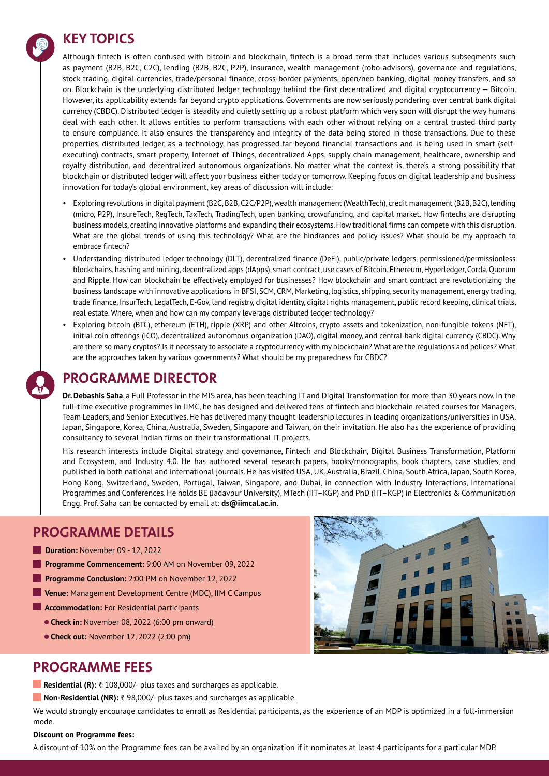#### **KEY TOPICS**



Although fintech is often confused with bitcoin and blockchain, fintech is a broad term that includes various subsegments such as payment (B2B, B2C, C2C), lending (B2B, B2C, P2P), insurance, wealth management (robo-advisors), governance and regulations, stock trading, digital currencies, trade/personal finance, cross-border payments, open/neo banking, digital money transfers, and so on. Blockchain is the underlying distributed ledger technology behind the first decentralized and digital cryptocurrency — Bitcoin. However, its applicability extends far beyond crypto applications. Governments are now seriously pondering over central bank digital currency (CBDC). Distributed ledger is steadily and quietly setting up a robust platform which very soon will disrupt the way humans deal with each other. It allows entities to perform transactions with each other without relying on a central trusted third party to ensure compliance. It also ensures the transparency and integrity of the data being stored in those transactions. Due to these properties, distributed ledger, as a technology, has progressed far beyond financial transactions and is being used in smart (selfexecuting) contracts, smart property, Internet of Things, decentralized Apps, supply chain management, healthcare, ownership and royalty distribution, and decentralized autonomous organizations. No matter what the context is, there's a strong possibility that blockchain or distributed ledger will affect your business either today or tomorrow. Keeping focus on digital leadership and business innovation for today's global environment, key areas of discussion will include:

- • Exploring revolutions in digital payment (B2C, B2B, C2C/P2P), wealth management (WealthTech), credit management (B2B, B2C), lending (micro, P2P), InsureTech, RegTech, TaxTech, TradingTech, open banking, crowdfunding, and capital market. How fintechs are disrupting business models, creating innovative platforms and expanding their ecosystems. How traditional firms can compete with this disruption. What are the global trends of using this technology? What are the hindrances and policy issues? What should be my approach to embrace fintech?
- Understanding distributed ledger technology (DLT), decentralized finance (DeFi), public/private ledgers, permissioned/permissionless blockchains, hashing and mining, decentralized apps (dApps), smart contract, use cases of Bitcoin, Ethereum, Hyperledger, Corda, Quorum and Ripple. How can blockchain be effectively employed for businesses? How blockchain and smart contract are revolutionizing the business landscape with innovative applications in BFSI, SCM, CRM, Marketing, logistics, shipping, security management, energy trading, trade finance, InsurTech, LegalTech, E-Gov, land registry, digital identity, digital rights management, public record keeping, clinical trials, real estate. Where, when and how can my company leverage distributed ledger technology?
- Exploring bitcoin (BTC), ethereum (ETH), ripple (XRP) and other Altcoins, crypto assets and tokenization, non-fungible tokens (NFT), initial coin offerings (ICO), decentralized autonomous organization (DAO), digital money, and central bank digital currency (CBDC). Why are there so many cryptos? Is it necessary to associate a cryptocurrency with my blockchain? What are the regulations and polices? What are the approaches taken by various governments? What should be my preparedness for CBDC?

# **PROGRAMME DIRECTOR**

**Dr. Debashis Saha**, a Full Professor in the MIS area, has been teaching IT and Digital Transformation for more than 30 years now. In the full-time executive programmes in IIMC, he has designed and delivered tens of fintech and blockchain related courses for Managers, Team Leaders, and Senior Executives. He has delivered many thought-leadership lectures in leading organizations/universities in USA, Japan, Singapore, Korea, China, Australia, Sweden, Singapore and Taiwan, on their invitation. He also has the experience of providing consultancy to several Indian firms on their transformational IT projects.

His research interests include Digital strategy and governance, Fintech and Blockchain, Digital Business Transformation, Platform and Ecosystem, and Industry 4.0. He has authored several research papers, books/monographs, book chapters, case studies, and published in both national and international journals. He has visited USA, UK, Australia, Brazil, China, South Africa, Japan, South Korea, Hong Kong, Switzerland, Sweden, Portugal, Taiwan, Singapore, and Dubai, in connection with Industry Interactions, International Programmes and Conferences. He holds BE (Jadavpur University), MTech (IIT–KGP) and PhD (IIT–KGP) in Electronics & Communication Engg. Prof. Saha can be contacted by email at: **ds@iimcal.ac.in.**

### **PROGRAMME DETAILS**

- **Duration: November 09 12, 2022**
- **Programme Commencement:** 9:00 AM on November 09, 2022
- **Programme Conclusion:** 2:00 PM on November 12, 2022
- **Venue:** Management Development Centre (MDC), IIM C Campus
- **Accommodation:** For Residential participants
	- **Check in:** November 08, 2022 (6:00 pm onward)
	- **Check out:** November 12, 2022 (2:00 pm)



#### **PROGRAMME FEES**

- **Residential (R):** ₹ 108,000/- plus taxes and surcharges as applicable.
- **Non-Residential (NR):** ₹ 98,000/- plus taxes and surcharges as applicable.

We would strongly encourage candidates to enroll as Residential participants, as the experience of an MDP is optimized in a full-immersion mode.

#### **Discount on Programme fees:**

A discount of 10% on the Programme fees can be availed by an organization if it nominates at least 4 participants for a particular MDP.